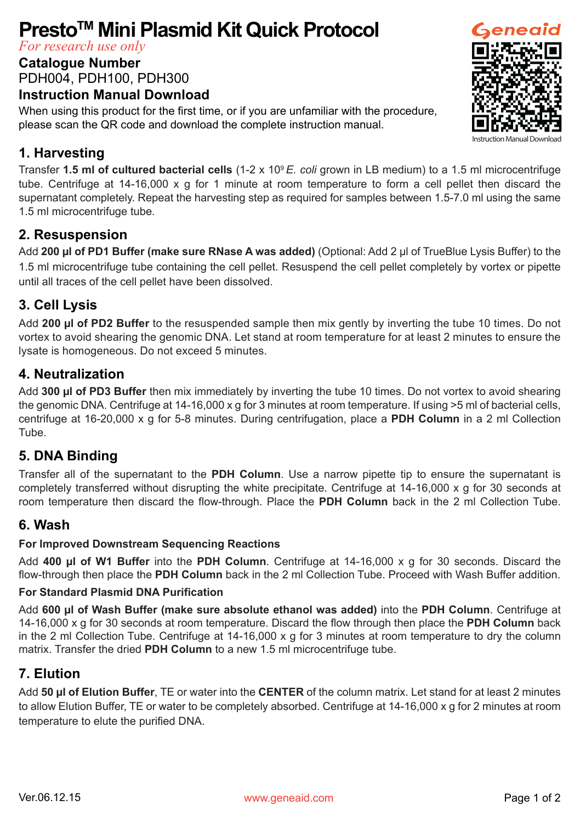# **PrestoTM Mini Plasmid Kit Quick Protocol**

*For research use only*

#### **Catalogue Number**

PDH004, PDH100, PDH300

#### **Instruction Manual Download**

When using this product for the first time, or if you are unfamiliar with the procedure, please scan the QR code and download the complete instruction manual.

## **1. Harvesting**

Transfer **1.5 ml of cultured bacterial cells** (1-2 x 109 *E. coli* grown in LB medium) to a 1.5 ml microcentrifuge tube. Centrifuge at 14-16,000 x g for 1 minute at room temperature to form a cell pellet then discard the supernatant completely. Repeat the harvesting step as required for samples between 1.5-7.0 ml using the same 1.5 ml microcentrifuge tube.

#### **2. Resuspension**

Add **200 µl of PD1 Buffer (make sure RNase A was added)** (Optional: Add 2 µl of TrueBlue Lysis Buffer) to the 1.5 ml microcentrifuge tube containing the cell pellet. Resuspend the cell pellet completely by vortex or pipette until all traces of the cell pellet have been dissolved.

## **3. Cell Lysis**

Add **200 µl of PD2 Buffer** to the resuspended sample then mix gently by inverting the tube 10 times. Do not vortex to avoid shearing the genomic DNA. Let stand at room temperature for at least 2 minutes to ensure the lysate is homogeneous. Do not exceed 5 minutes.

#### **4. Neutralization**

Add **300 µl of PD3 Buffer** then mix immediately by inverting the tube 10 times. Do not vortex to avoid shearing the genomic DNA. Centrifuge at 14-16,000 x g for 3 minutes at room temperature. If using >5 ml of bacterial cells, centrifuge at 16-20,000 x g for 5-8 minutes. During centrifugation, place a **PDH Column** in a 2 ml Collection Tube.

#### **5. DNA Binding**

Transfer all of the supernatant to the **PDH Column**. Use a narrow pipette tip to ensure the supernatant is completely transferred without disrupting the white precipitate. Centrifuge at 14-16,000 x g for 30 seconds at room temperature then discard the flow-through. Place the **PDH Column** back in the 2 ml Collection Tube.

#### **6. Wash**

#### **For Improved Downstream Sequencing Reactions**

Add **400 µl of W1 Buffer** into the **PDH Column**. Centrifuge at 14-16,000 x g for 30 seconds. Discard the flow-through then place the **PDH Column** back in the 2 ml Collection Tube. Proceed with Wash Buffer addition.

#### **For Standard Plasmid DNA Purification**

Add **600 µl of Wash Buffer (make sure absolute ethanol was added)** into the **PDH Column**. Centrifuge at 14-16,000 x g for 30 seconds at room temperature. Discard the flow through then place the **PDH Column** back in the 2 ml Collection Tube. Centrifuge at 14-16,000 x g for 3 minutes at room temperature to dry the column matrix. Transfer the dried **PDH Column** to a new 1.5 ml microcentrifuge tube.

## **7. Elution**

Add **50 µl of Elution Buffer**, TE or water into the **CENTER** of the column matrix. Let stand for at least 2 minutes to allow Elution Buffer, TE or water to be completely absorbed. Centrifuge at 14-16,000 x g for 2 minutes at room temperature to elute the purified DNA.